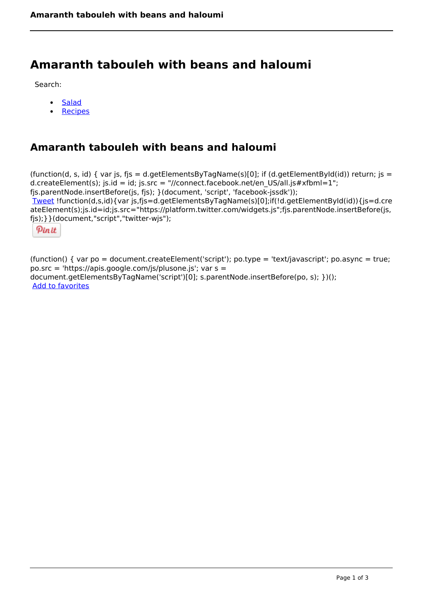# **Amaranth tabouleh with beans and haloumi**

Search:

- [Salad](https://www.naturalhealthmag.com.au/nourish/salads)
- [Recipes](https://www.naturalhealthmag.com.au/nourish/recipes)

# **Amaranth tabouleh with beans and haloumi**

(function(d, s, id) { var js, fjs = d.getElementsByTagName(s)[0]; if (d.getElementById(id)) return; js = d.createElement(s); js.id = id; js.src = "//connect.facebook.net/en\_US/all.js#xfbml=1"; fjs.parentNode.insertBefore(js, fjs); }(document, 'script', 'facebook-jssdk')); [Tweet](https://twitter.com/share) !function(d,s,id){var js,fjs=d.getElementsByTagName(s)[0];if(!d.getElementById(id)){js=d.cre ateElement(s);js.id=id;js.src="https://platform.twitter.com/widgets.js";fjs.parentNode.insertBefore(js, fjs);}}(document,"script","twitter-wjs");

Pinit

(function() { var po = document.createElement('script'); po.type = 'text/javascript'; po.async = true; po.src = 'https://apis.google.com/js/plusone.js'; var s = document.getElementsByTagName('script')[0]; s.parentNode.insertBefore(po, s); })(); Add to favorites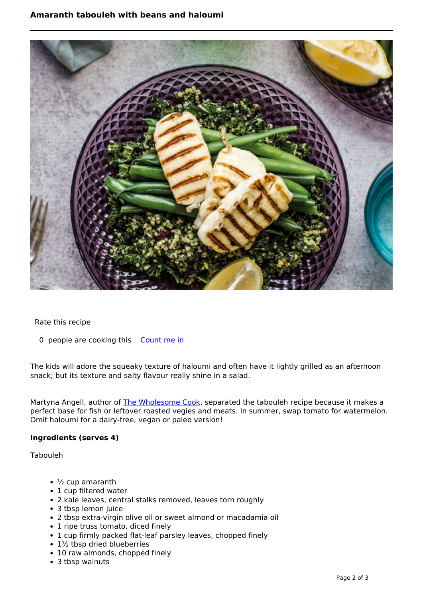## **Amaranth tabouleh with beans and haloumi**



Rate this recipe

0 people are cooking this [Count me in](https://www.naturalhealthmag.com.au/flag/flag/favorites/1865?destination=printpdf%2F1865&token=e10a690eb086bc1f880f8ca9f19cc5cb)

The kids will adore the squeaky texture of haloumi and often have it lightly grilled as an afternoon snack; but its texture and salty flavour really shine in a salad.

Martyna Angell, author of [The Wholesome Cook,](http://wholesome-cook.com) separated the tabouleh recipe because it makes a perfect base for fish or leftover roasted vegies and meats. In summer, swap tomato for watermelon. Omit haloumi for a dairy-free, vegan or paleo version!

### **Ingredients (serves 4)**

Tabouleh

- $\cdot$   $\frac{1}{2}$  cup amaranth
- 1 cup filtered water
- 2 kale leaves, central stalks removed, leaves torn roughly
- 3 tbsp lemon juice
- 2 tbsp extra-virgin olive oil or sweet almond or macadamia oil
- 1 ripe truss tomato, diced finely
- 1 cup firmly packed flat-leaf parsley leaves, chopped finely
- $\cdot$  1½ tbsp dried blueberries
- 10 raw almonds, chopped finely
- 3 tbsp walnuts